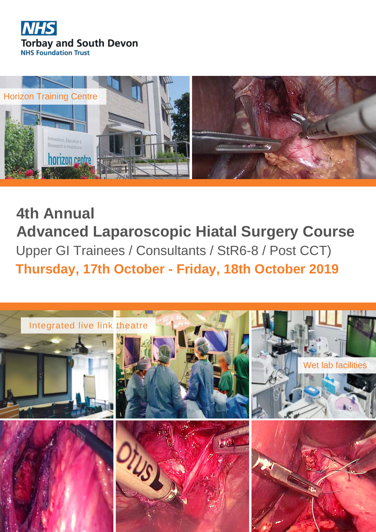**4th Annual Advanced Laparoscopic Hiatal Surgery Course** Upper GI Trainees / Consultants / StR6-8 / Post CCT) **Thursday, 17th October - Friday, 18th October 2019**



















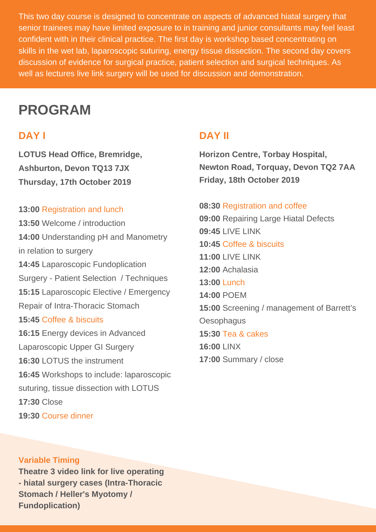This two day course is designed to concentrate on aspects of advanced hiatal surgery that senior trainees may have limited exposure to in training and junior consultants may feel least confident with in their clinical practice. The first day is workshop based concentrating on skills in the wet lab, laparoscopic suturing, energy tissue dissection. The second day covers discussion of evidence for surgical practice, patient selection and surgical techniques. As well as lectures live link surgery will be used for discussion and demonstration.

**LOTUS Head Office, Bremridge, Ashburton, Devon TQ13 7JX Thursday, 17th October 2019**

#### **13:00** Registration and lunch

**13:50** Welcome / introduction

**14:00** Understanding pH and Manometry in relation to surgery

**14:45** Laparoscopic Fundoplication Surgery - Patient Selection / Techniques

**15:15** Laparoscopic Elective / Emergency

Repair of Intra-Thoracic Stomach

**15:45** Coffee & biscuits

**16:15** Energy devices in Advanced

Laparoscopic Upper GI Surgery

**16:30** LOTUS the instrument

**16:45** Workshops to include: laparoscopic

suturing, tissue dissection with LOTUS

**17:30** Close

**19:30** Course dinner

**Horizon Centre, Torbay Hospital, Newton Road, Torquay, Devon TQ2 7AA Friday, 18th October 2019**

#### **08:30** Registration and coffee

- **09:00** Repairing Large Hiatal Defects
- **09:45** LIVE LINK
- **10:45** Coffee & biscuits
- **11:00** LIVE LINK
- **12:00** Achalasia
- **13:00** Lunch

**14:00** POEM

**15:00** Screening / management of Barrett's

**Oesophagus** 

**15:30** Tea & cakes

**16:00** LINX

**17:00** Summary / close

# **PROGRAM**

### **DAY I DAY II**

**Variable Timing Theatre 3 video link for live operating - hiatal surgery cases (Intra-Thoracic Stomach / Heller's Myotomy / Fundoplication)**